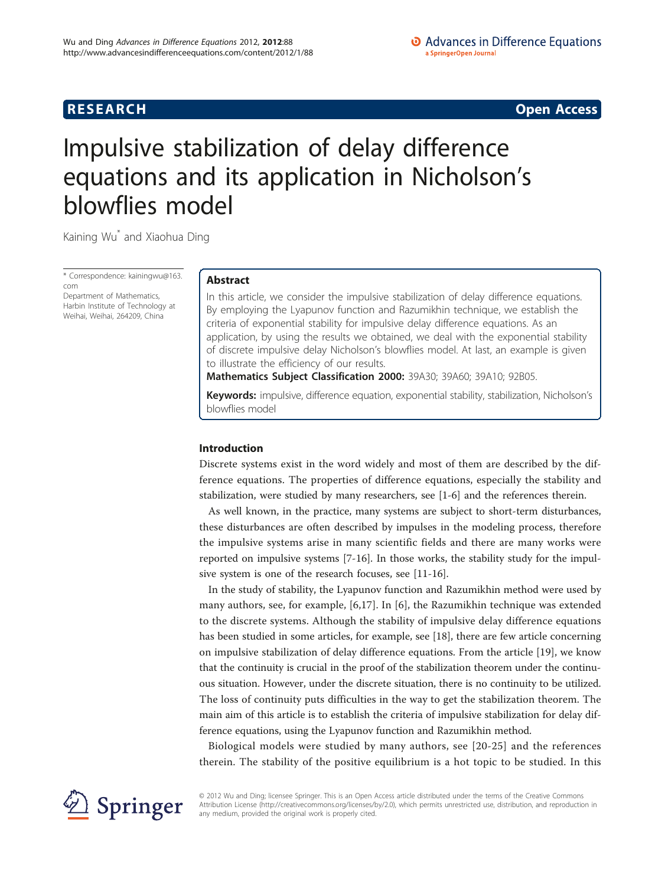**RESEARCH CONSTRUCTION CONSTRUCTS** 

# Impulsive stabilization of delay difference equations and its application in Nicholson's blowflies model

Kaining Wu\* and Xiaohua Ding

\* Correspondence: [kainingwu@163.](mailto:kainingwu@163.com) [com](mailto:kainingwu@163.com)

Department of Mathematics, Harbin Institute of Technology at Weihai, Weihai, 264209, China

# Abstract

In this article, we consider the impulsive stabilization of delay difference equations. By employing the Lyapunov function and Razumikhin technique, we establish the criteria of exponential stability for impulsive delay difference equations. As an application, by using the results we obtained, we deal with the exponential stability of discrete impulsive delay Nicholson's blowflies model. At last, an example is given to illustrate the efficiency of our results.

Mathematics Subject Classification 2000: 39A30; 39A60; 39A10; 92B05.

Keywords: impulsive, difference equation, exponential stability, stabilization, Nicholson's blowflies model

# Introduction

Discrete systems exist in the word widely and most of them are described by the difference equations. The properties of difference equations, especially the stability and stabilization, were studied by many researchers, see [\[1](#page-9-0)-[6](#page-9-0)] and the references therein.

As well known, in the practice, many systems are subject to short-term disturbances, these disturbances are often described by impulses in the modeling process, therefore the impulsive systems arise in many scientific fields and there are many works were reported on impulsive systems [[7](#page-9-0)-[16\]](#page-9-0). In those works, the stability study for the impulsive system is one of the research focuses, see [[11](#page-9-0)-[16\]](#page-9-0).

In the study of stability, the Lyapunov function and Razumikhin method were used by many authors, see, for example, [\[6](#page-9-0),[17\]](#page-9-0). In [[6\]](#page-9-0), the Razumikhin technique was extended to the discrete systems. Although the stability of impulsive delay difference equations has been studied in some articles, for example, see [[18\]](#page-9-0), there are few article concerning on impulsive stabilization of delay difference equations. From the article [[19\]](#page-9-0), we know that the continuity is crucial in the proof of the stabilization theorem under the continuous situation. However, under the discrete situation, there is no continuity to be utilized. The loss of continuity puts difficulties in the way to get the stabilization theorem. The main aim of this article is to establish the criteria of impulsive stabilization for delay difference equations, using the Lyapunov function and Razumikhin method.

Biological models were studied by many authors, see [\[20-](#page-9-0)[25\]](#page-10-0) and the references therein. The stability of the positive equilibrium is a hot topic to be studied. In this



© 2012 Wu and Ding; licensee Springer. This is an Open Access article distributed under the terms of the Creative Commons Attribution License [\(http://creativecommons.org/licenses/by/2.0](http://creativecommons.org/licenses/by/2.0)), which permits unrestricted use, distribution, and reproduction in any medium, provided the original work is properly cited.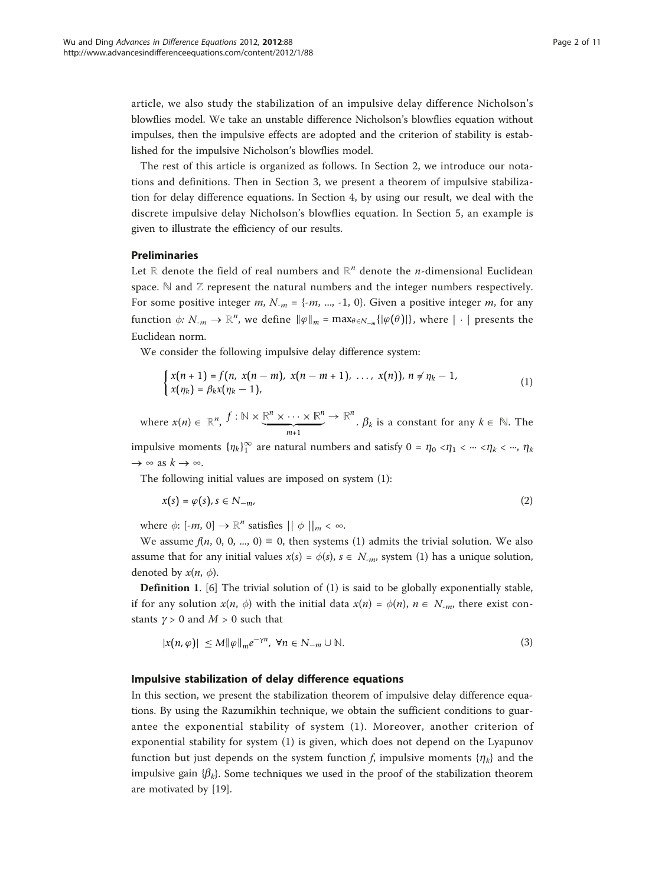article, we also study the stabilization of an impulsive delay difference Nicholson's blowflies model. We take an unstable difference Nicholson's blowflies equation without impulses, then the impulsive effects are adopted and the criterion of stability is established for the impulsive Nicholson's blowflies model.

The rest of this article is organized as follows. In Section 2, we introduce our notations and definitions. Then in Section 3, we present a theorem of impulsive stabilization for delay difference equations. In Section 4, by using our result, we deal with the discrete impulsive delay Nicholson's blowflies equation. In Section 5, an example is given to illustrate the efficiency of our results.

## Preliminaries

Let ℝ denote the field of real numbers and ℝ<sup>n</sup> denote the *n*-dimensional Euclidean space.  $\mathbb N$  and  $\mathbb Z$  represent the natural numbers and the integer numbers respectively. For some positive integer m,  $N_{-m} = \{-m, ..., -1, 0\}$ . Given a positive integer m, for any function  $\phi: N_{-m} \to \mathbb{R}^n$ , we define  $\|\varphi\|_m = \max_{\theta \in N_{-m}} \{|\varphi(\theta)|\}$ , where  $|\cdot|$  presents the Euclidean norm.

We consider the following impulsive delay difference system:

$$
\begin{cases} x(n+1) = f(n, x(n-m), x(n-m+1), \ldots, x(n)), n \neq \eta_k - 1, \\ x(\eta_k) = \beta_k x(\eta_k - 1), \end{cases} (1)
$$

where  $x(n) \in \mathbb{R}^n$ ,  $f: \mathbb{N} \times \underbrace{\mathbb{R}^n \times \cdots \times \mathbb{R}^n}_{m+1}$  $\rightarrow \mathbb{R}^n$ .  $\beta_k$  is a constant for any  $k \in \mathbb{N}$ . The impulsive moments  $\{\eta_k\}_1^{\infty}$  are natural numbers and satisfy  $0 = \eta_0 < \eta_1 < \cdots < \eta_k < \cdots$ ,  $\eta_k$ 

 $\rightarrow \infty$  as  $k \rightarrow \infty$ .

The following initial values are imposed on system (1):

$$
x(s) = \varphi(s), s \in N_{-m}, \tag{2}
$$

where  $\phi$ : [-*m*, 0]  $\rightarrow \mathbb{R}^n$  satisfies  $|| \phi ||_m < \infty$ .

We assume  $f(n, 0, 0, ..., 0) \equiv 0$ , then systems (1) admits the trivial solution. We also assume that for any initial values  $x(s) = \phi(s)$ ,  $s \in N_{-m}$ , system (1) has a unique solution, denoted by  $x(n, \phi)$ .

Definition 1. [\[6](#page-9-0)] The trivial solution of (1) is said to be globally exponentially stable, if for any solution  $x(n, \phi)$  with the initial data  $x(n) = \phi(n)$ ,  $n \in N_{-m}$ , there exist constants  $\gamma > 0$  and  $M > 0$  such that

$$
|x(n,\varphi)| \le M \|\varphi\|_{m} e^{-\gamma n}, \ \forall n \in N_{-m} \cup \mathbb{N}.
$$
 (3)

# Impulsive stabilization of delay difference equations

In this section, we present the stabilization theorem of impulsive delay difference equations. By using the Razumikhin technique, we obtain the sufficient conditions to guarantee the exponential stability of system (1). Moreover, another criterion of exponential stability for system (1) is given, which does not depend on the Lyapunov function but just depends on the system function f, impulsive moments  $\{\eta_k\}$  and the impulsive gain  $\{\beta_k\}$ . Some techniques we used in the proof of the stabilization theorem are motivated by [[19\]](#page-9-0).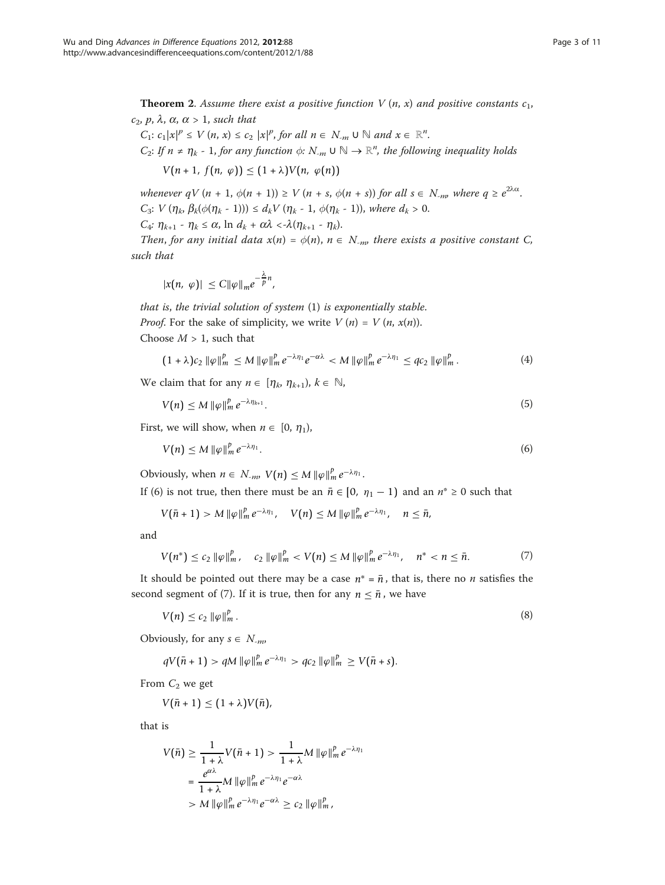**Theorem 2.** Assume there exist a positive function V  $(n, x)$  and positive constants  $c_1$ ,  $c_2$ , p,  $\lambda$ ,  $\alpha$ ,  $\alpha > 1$ , such that

 $C_1: c_1 |x|^p \leq V(n, x) \leq c_2 |x|^p$ , for all  $n \in N_m$   $\cup \mathbb{N}$  and  $x \in \mathbb{R}^n$ . C<sub>2</sub>: If  $n \neq \eta_k$  - 1, for any function  $\phi: N_{-m} \cup \mathbb{N} \to \mathbb{R}^n$ , the following inequality holds

$$
V(n+1, f(n, \varphi)) \leq (1+\lambda)V(n, \varphi(n))
$$

whenever  $qV (n + 1, \phi(n + 1)) \ge V (n + s, \phi(n + s))$  for all  $s \in N_{-m}$ , where  $q \ge e^{2\lambda \alpha}$ .  $C_3$ :  $V(\eta_k, \beta_k(\phi(\eta_k - 1))) \le d_k V(\eta_k - 1, \phi(\eta_k - 1))$ , where  $d_k > 0$ .

 $C_4$ :  $\eta_{k+1}$  -  $\eta_k \leq \alpha$ ,  $\ln d_k + \alpha \lambda < \lambda (\eta_{k+1} - \eta_k)$ .

Then, for any initial data  $x(n) = \phi(n)$ ,  $n \in N_{-np}$  there exists a positive constant C, such that

$$
|x(n, \varphi)| \leq C ||\varphi||_{m} e^{-\frac{\lambda}{p}n},
$$

that is, the trivial solution of system (1) is exponentially stable. *Proof.* For the sake of simplicity, we write  $V(n) = V(n, x(n))$ .

Choose  $M > 1$ , such that

$$
(1+\lambda)c_2 \|\varphi\|_m^p \le M \|\varphi\|_m^p e^{-\lambda \eta_1} e^{-\alpha \lambda} < M \|\varphi\|_m^p e^{-\lambda \eta_1} \le q c_2 \|\varphi\|_m^p. \tag{4}
$$

We claim that for any  $n \in [\eta_k, \eta_{k+1}), k \in \mathbb{N}$ ,

$$
V(n) \leq M \|\varphi\|_{m}^{p} e^{-\lambda \eta_{k+1}}.
$$
\n<sup>(5)</sup>

First, we will show, when  $n \in [0, \eta_1)$ ,

$$
V(n) \leq M \|\varphi\|_m^p e^{-\lambda \eta_1}.\tag{6}
$$

Obviously, when  $n \in N_{-m}$ ,  $V(n) \leq M \|\varphi\|_m^p e^{-\lambda \eta_1}$ .

If (6) is not true, then there must be an  $\bar{n} \in [0, \eta_1 - 1)$  and an  $n^* \ge 0$  such that

$$
V(\bar{n}+1) > M \|\varphi\|_m^p e^{-\lambda \eta_1}, \quad V(n) \leq M \|\varphi\|_m^p e^{-\lambda \eta_1}, \quad n \leq \bar{n},
$$

and

$$
V(n^*) \le c_2 \|\varphi\|_m^p, \quad c_2 \|\varphi\|_m^p < V(n) \le M \|\varphi\|_m^p \, e^{-\lambda \eta_1}, \quad n^* < n \le \bar{n}.\tag{7}
$$

It should be pointed out there may be a case  $n^* = \bar{n}$ , that is, there no *n* satisfies the second segment of (7). If it is true, then for any  $n \leq \bar{n}$ , we have

$$
V(n) \le c_2 \|\varphi\|_m^p. \tag{8}
$$

Obviously, for any  $s \in N_{-m}$ ,

$$
qV(\bar{n}+1) > qM \|\varphi\|_m^p e^{-\lambda \eta_1} > qc_2 \|\varphi\|_m^p \ge V(\bar{n}+s).
$$

From  $C_2$  we get

$$
V(\bar{n}+1)\leq (1+\lambda)V(\bar{n}),
$$

that is

$$
V(\bar{n}) \ge \frac{1}{1+\lambda} V(\bar{n}+1) > \frac{1}{1+\lambda} M \|\varphi\|_m^p e^{-\lambda \eta_1}
$$
  
= 
$$
\frac{e^{\alpha \lambda}}{1+\lambda} M \|\varphi\|_m^p e^{-\lambda \eta_1} e^{-\alpha \lambda}
$$
  
> 
$$
M \|\varphi\|_m^p e^{-\lambda \eta_1} e^{-\alpha \lambda} \ge c_2 \|\varphi\|_m^p,
$$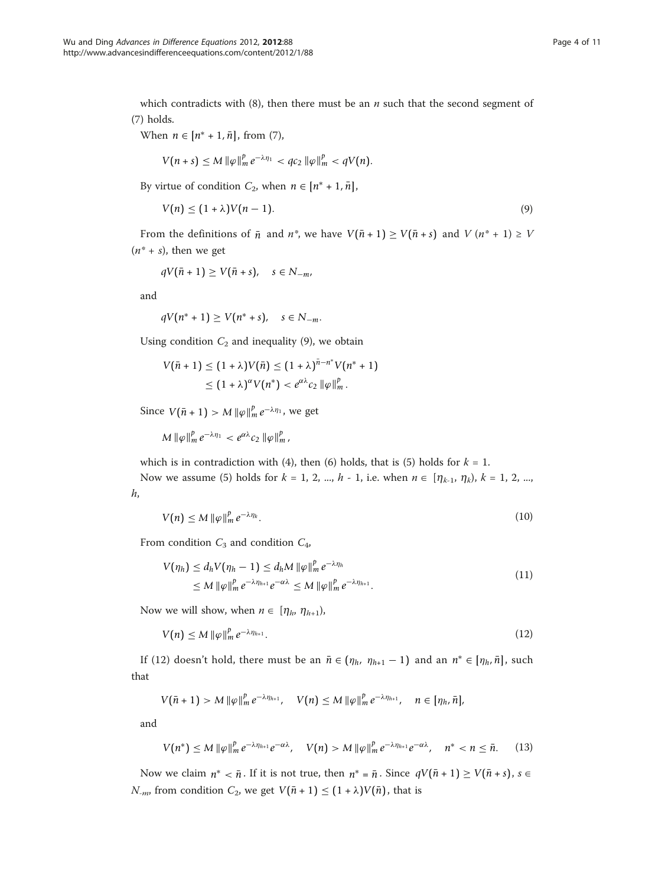which contradicts with (8), then there must be an  $n$  such that the second segment of (7) holds.

When  $n \in [n^* + 1, \bar{n}]$ , from (7),

$$
V(n+s) \leq M \|\varphi\|_m^p e^{-\lambda \eta_1} < q c_2 \|\varphi\|_m^p < q V(n).
$$

By virtue of condition  $C_2$ , when  $n \in [n^* + 1, \bar{n}],$ 

$$
V(n) \le (1 + \lambda)V(n - 1). \tag{9}
$$

From the definitions of  $\bar{n}$  and  $n^*$ , we have  $V(\bar{n} + 1) \ge V(\bar{n} + s)$  and  $V(n^* + 1) \ge V$  $(n^* + s)$ , then we get

$$
qV(\bar{n}+1)\geq V(\bar{n}+s), \quad s\in N_{-m},
$$

and

$$
qV(n^*+1)\geq V(n^*+s), \quad s\in N_{-m}.
$$

Using condition  $C_2$  and inequality (9), we obtain

$$
V(\bar{n}+1) \leq (1+\lambda)V(\bar{n}) \leq (1+\lambda)^{\bar{n}-n^*}V(n^*+1)
$$
  
 
$$
\leq (1+\lambda)^{\alpha}V(n^*) < e^{\alpha\lambda}c_2 \|\varphi\|_m^p.
$$

Since  $V(\bar{n} + 1) > M \|\varphi\|_m^p e^{-\lambda \eta_1}$ , we get

$$
M\left\|\varphi\right\|_m^p e^{-\lambda\eta_1} < e^{\alpha\lambda}c_2\left\|\varphi\right\|_m^p,
$$

which is in contradiction with (4), then (6) holds, that is (5) holds for  $k = 1$ .

Now we assume (5) holds for  $k = 1, 2, ..., h - 1$ , i.e. when  $n \in [\eta_{k-1}, \eta_k)$ ,  $k = 1, 2, ...,$ h,

$$
V(n) \leq M \|\varphi\|_{m}^{p} e^{-\lambda \eta_{k}}.
$$
\n<sup>(10)</sup>

From condition  $C_3$  and condition  $C_4$ ,

$$
V(\eta_h) \leq d_h V(\eta_h - 1) \leq d_h M \|\varphi\|_m^p e^{-\lambda \eta_h}
$$
  
\n
$$
\leq M \|\varphi\|_m^p e^{-\lambda \eta_{h+1}} e^{-\alpha \lambda} \leq M \|\varphi\|_m^p e^{-\lambda \eta_{h+1}}.
$$
\n(11)

Now we will show, when  $n \in [\eta_h, \eta_{h+1}],$ 

$$
V(n) \leq M \|\varphi\|_{m}^{p} e^{-\lambda \eta_{h+1}}.
$$
\n
$$
(12)
$$

If (12) doesn't hold, there must be an  $\bar{n} \in (\eta_h, \eta_{h+1} - 1)$  and an  $n^* \in [\eta_h, \bar{n}]$ , such that

$$
V(\bar{n}+1) > M \| \varphi \|_m^p e^{-\lambda \eta_{h+1}}, \quad V(n) \leq M \| \varphi \|_m^p e^{-\lambda \eta_{h+1}}, \quad n \in [\eta_h, \bar{n}],
$$

and

$$
V(n^*) \leq M \|\varphi\|_m^p e^{-\lambda \eta_{h+1}} e^{-\alpha \lambda}, \quad V(n) > M \|\varphi\|_m^p e^{-\lambda \eta_{h+1}} e^{-\alpha \lambda}, \quad n^* < n \leq \bar{n}.
$$
 (13)

Now we claim  $n^* < \bar{n}$ . If it is not true, then  $n^* = \bar{n}$ . Since  $qV(\bar{n} + 1) \ge V(\bar{n} + s)$ ,  $s \in$  $N_{-m}$ , from condition  $C_2$ , we get  $V(\bar{n}+1) \leq (1+\lambda)V(\bar{n})$ , that is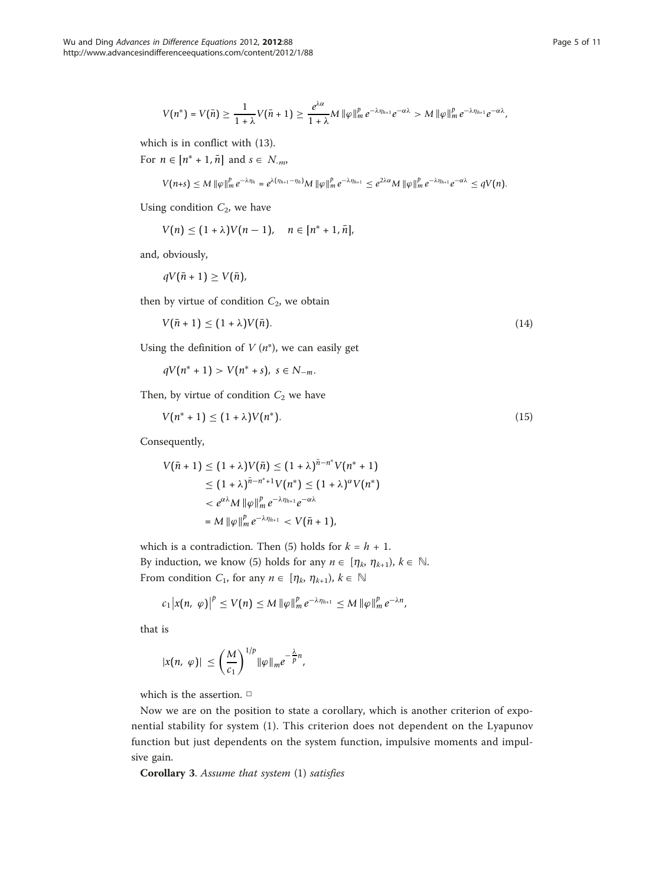$$
V(n^*)=V(\bar{n})\geq \frac{1}{1+\lambda}V(\bar{n}+1)\geq \frac{e^{\lambda\alpha}}{1+\lambda}M\left\|\varphi\right\|_m^pe^{-\lambda\eta_{h+1}}e^{-\alpha\lambda}>M\left\|\varphi\right\|_m^pe^{-\lambda\eta_{h+1}}e^{-\alpha\lambda},
$$

which is in conflict with (13).

For  $n \in [n^* + 1, \bar{n}]$  and  $s \in N_{-m}$ ,

$$
V(n+s) \leq M \|\varphi\|_m^p e^{-\lambda \eta_h} = e^{\lambda(\eta_{h+1} - \eta_h)} M \|\varphi\|_m^p e^{-\lambda \eta_{h+1}} \leq e^{2\lambda \alpha} M \|\varphi\|_m^p e^{-\lambda \eta_{h+1}} e^{-\alpha \lambda} \leq qV(n).
$$

Using condition  $C_2$ , we have

 $V(n) \leq (1 + \lambda)V(n - 1), \quad n \in [n^* + 1, \bar{n}],$ 

and, obviously,

$$
qV(\bar{n}+1)\geq V(\bar{n}),
$$

then by virtue of condition  $C_2$ , we obtain

$$
V(\bar{n} + 1) \le (1 + \lambda)V(\bar{n}).\tag{14}
$$

Using the definition of  $V(n^*)$ , we can easily get

*qV*( $n$ <sup>\*</sup> + 1) > *V*( $n$ <sup>\*</sup> + *s*), *s* ∈ *N*−*m*.

Then, by virtue of condition  $C_2$  we have

$$
V(n^* + 1) \le (1 + \lambda)V(n^*). \tag{15}
$$

Consequently,

$$
V(\bar{n}+1) \leq (1+\lambda)V(\bar{n}) \leq (1+\lambda)^{\bar{n}-n^*}V(n^*+1)
$$
  
\n
$$
\leq (1+\lambda)^{\bar{n}-n^*+1}V(n^*) \leq (1+\lambda)^{\alpha}V(n^*)
$$
  
\n
$$
< e^{\alpha\lambda}M \|\varphi\|_m^{\beta}e^{-\lambda\eta_{h+1}}e^{-\alpha\lambda}
$$
  
\n
$$
= M \|\varphi\|_m^{\beta}e^{-\lambda\eta_{h+1}} < V(\bar{n}+1),
$$

which is a contradiction. Then (5) holds for  $k = h + 1$ . By induction, we know (5) holds for any  $n \in [\eta_k, \eta_{k+1}), k \in \mathbb{N}$ . From condition  $C_1$ , for any  $n \in [\eta_k, \eta_{k+1}), k \in \mathbb{N}$ 

$$
c_1\big|x(n,\,\varphi)\big|^p\leq V(n)\leq M\|\varphi\|_m^pe^{-\lambda\eta_{h+1}}\leq M\|\varphi\|_m^pe^{-\lambda n},
$$

that is

$$
|x(n, \varphi)| \leq \left(\frac{M}{c_1}\right)^{1/p} \|\varphi\|_{m} e^{-\frac{\lambda}{p}n},
$$

which is the assertion. □

Now we are on the position to state a corollary, which is another criterion of exponential stability for system (1). This criterion does not dependent on the Lyapunov function but just dependents on the system function, impulsive moments and impulsive gain.

Corollary 3. Assume that system (1) satisfies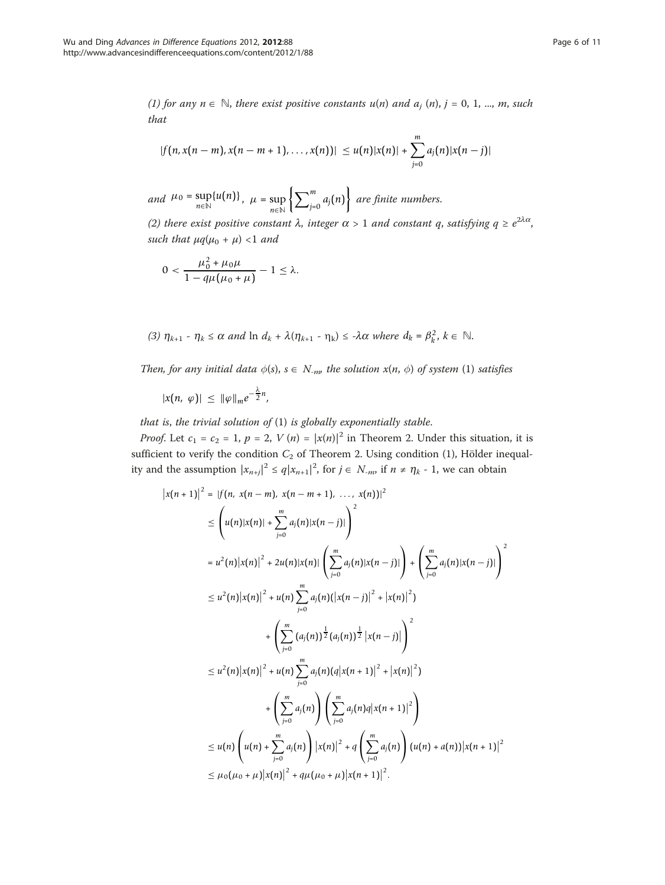(1) for any  $n \in \mathbb{N}$ , there exist positive constants  $u(n)$  and  $a_i(n)$ , j = 0, 1, ..., m, such that

$$
|f(n,x(n-m),x(n-m+1),...,x(n))| \leq u(n)|x(n)| + \sum_{j=0}^{m} a_j(n)|x(n-j)|
$$

and  $\mu_0 = \sup_{n \in \mathbb{N}} \{u(n)\}, \quad \mu = \sup_{n \in \mathbb{N}}$ *n*∈**N**  $\left[\nabla^m\right]$  $\begin{Bmatrix} m \\ j=0 \end{Bmatrix}$  are finite numbers.

(2) there exist positive constant  $\lambda$ , integer  $\alpha > 1$  and constant q, satisfying  $q \ge e^{2\lambda\alpha}$ , such that  $\mu q(\mu_0 + \mu)$  <1 and

$$
0 < \frac{\mu_0^2 + \mu_0 \mu}{1 - q \mu (\mu_0 + \mu)} - 1 \le \lambda.
$$

(3) 
$$
\eta_{k+1} - \eta_k \le \alpha
$$
 and  $\ln d_k + \lambda(\eta_{k+1} - \eta_k) \le -\lambda \alpha$  where  $d_k = \beta_k^2, k \in \mathbb{N}$ .

Then, for any initial data  $\phi(s)$ ,  $s \in N_{-m}$  the solution  $x(n, \phi)$  of system (1) satisfies

$$
|x(n, \varphi)| \leq \|\varphi\|_m e^{-\frac{\lambda}{2}n},
$$

that is, the trivial solution of  $(1)$  is globally exponentially stable.

*Proof.* Let  $c_1 = c_2 = 1$ ,  $p = 2$ ,  $V(n) = |x(n)|^2$  in Theorem 2. Under this situation, it is sufficient to verify the condition  $C_2$  of Theorem 2. Using condition (1), Hölder inequality and the assumption  $|x_{n+j}|^2 \le q |x_{n+1}|^2$ , for  $j \in N_{-m}$ , if  $n \ne \eta_k$  - 1, we can obtain

$$
\begin{split}\n|x(n+1)|^{2} &= |f(n, x(n-m), x(n-m+1), \ldots, x(n))|^{2} \\
&\leq \left(u(n)|x(n)| + \sum_{j=0}^{m} a_{j}(n)|x(n-j)|\right)^{2} \\
&= u^{2}(n)|x(n)|^{2} + 2u(n)|x(n)| \left(\sum_{j=0}^{m} a_{j}(n)|x(n-j)|\right) + \left(\sum_{j=0}^{m} a_{j}(n)|x(n-j)|\right)^{2} \\
&\leq u^{2}(n)|x(n)|^{2} + u(n) \sum_{j=0}^{m} a_{j}(n)(|x(n-j)|^{2} + |x(n)|^{2}) \\
&\quad + \left(\sum_{j=0}^{m} (a_{j}(n)) \frac{1}{2} |x(n-j)|\right)^{2} \\
&\leq u^{2}(n)|x(n)|^{2} + u(n) \sum_{j=0}^{m} a_{j}(n)(q|x(n+1)|^{2} + |x(n)|^{2}) \\
&\quad + \left(\sum_{j=0}^{m} a_{j}(n)\right) \left(\sum_{j=0}^{m} a_{j}(n)q|x(n+1)|^{2}\right) \\
&\leq u(n) \left(u(n) + \sum_{j=0}^{m} a_{j}(n)\right) |x(n)|^{2} + q \left(\sum_{j=0}^{m} a_{j}(n)\right) (u(n) + a(n)) |x(n+1)|^{2} \\
&\leq \mu_{0}(\mu_{0} + \mu)|x(n)|^{2} + q\mu(\mu_{0} + \mu)|x(n+1)|^{2}.\n\end{split}
$$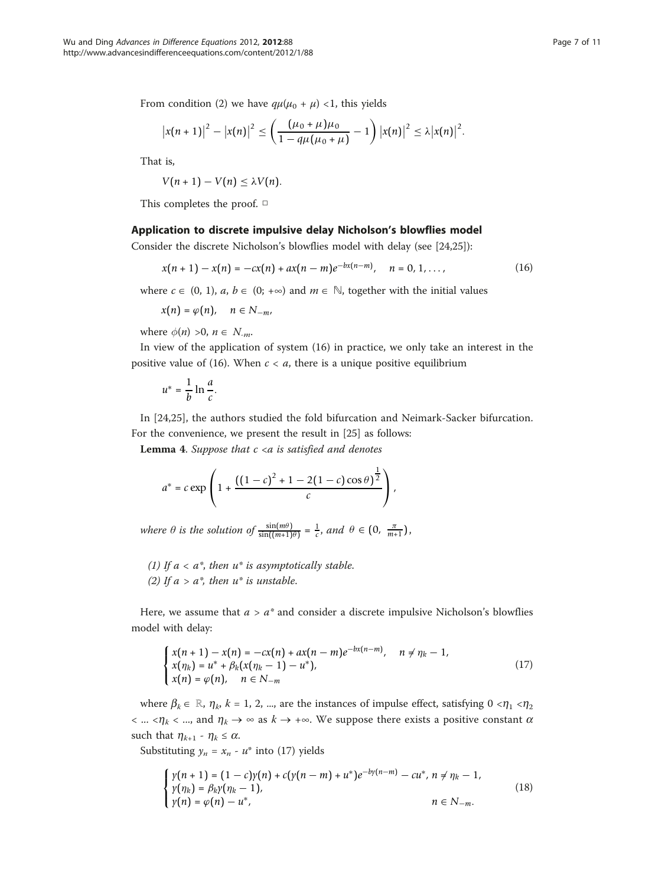From condition (2) we have  $q\mu(\mu_0 + \mu)$  <1, this yields

$$
|x(n+1)|^2 - |x(n)|^2 \le \left(\frac{(\mu_0 + \mu)\mu_0}{1 - q\mu(\mu_0 + \mu)} - 1\right) |x(n)|^2 \le \lambda |x(n)|^2.
$$

That is,

$$
V(n+1)-V(n)\leq \lambda V(n).
$$

This completes the proof. □

#### Application to discrete impulsive delay Nicholson's blowflies model

Consider the discrete Nicholson's blowflies model with delay (see [\[24,25\]](#page-10-0)):

$$
x(n + 1) - x(n) = -cx(n) + ax(n - m)e^{-bx(n-m)}, \quad n = 0, 1, ..., \tag{16}
$$

where  $c \in (0, 1)$ ,  $a, b \in (0; +\infty)$  and  $m \in \mathbb{N}$ , together with the initial values

$$
x(n)=\varphi(n),\quad n\in N_{-m},
$$

where  $\phi(n) > 0$ ,  $n \in N_{-m}$ .

In view of the application of system (16) in practice, we only take an interest in the positive value of (16). When  $c < a$ , there is a unique positive equilibrium

$$
u^* = \frac{1}{b} \ln \frac{a}{c}.
$$

In [[24,25](#page-10-0)], the authors studied the fold bifurcation and Neimark-Sacker bifurcation. For the convenience, we present the result in [\[25](#page-10-0)] as follows:

Lemma 4. Suppose that  $c < a$  is satisfied and denotes

$$
a^* = c \exp \left( 1 + \frac{((1-c)^2 + 1 - 2(1-c)\cos\theta)^{\frac{1}{2}}}{c} \right),
$$

where  $\theta$  is the solution of  $\frac{\sin((m+1)\theta)}{\sin((m+1)\theta)} = \frac{1}{c}$ , and  $\theta \in (0, \frac{\pi}{m+1})$ ,

(1) If  $a < a^*$ , then  $u^*$  is asymptotically stable. (2) If  $a > a^*$ , then  $u^*$  is unstable.

Here, we assume that  $a > a^*$  and consider a discrete impulsive Nicholson's blowflies model with delay:

$$
\begin{cases}\n x(n+1) - x(n) = -cx(n) + ax(n-m)e^{-bx(n-m)}, & n \neq n_k - 1, \\
 x(n_k) = u^* + \beta_k(x(n_k - 1) - u^*), \\
 x(n) = \varphi(n), & n \in N_{-m}\n\end{cases}
$$
\n(17)

where  $\beta_k \in \mathbb{R}$ ,  $\eta_k$ ,  $k = 1, 2, ...$ , are the instances of impulse effect, satisfying  $0 \lt \eta_1 \lt \eta_2$  $\langle \dots \langle \eta_k \rangle \rangle$  and  $\eta_k \to \infty$  as  $k \to +\infty$ . We suppose there exists a positive constant  $\alpha$ such that  $\eta_{k+1}$  -  $\eta_k \le \alpha$ .

Substituting  $y_n = x_n - u^*$  into (17) yields

$$
\begin{cases}\n\gamma(n+1) = (1-c)\gamma(n) + c(\gamma(n-m) + u^*)e^{-by(n-m)} - cu^*, \, n \neq \eta_k - 1, \\
\gamma(\eta_k) = \beta_k \gamma(\eta_k - 1), \\
\gamma(n) = \varphi(n) - u^*, \quad n \in N_{-m}.\n\end{cases}
$$
\n(18)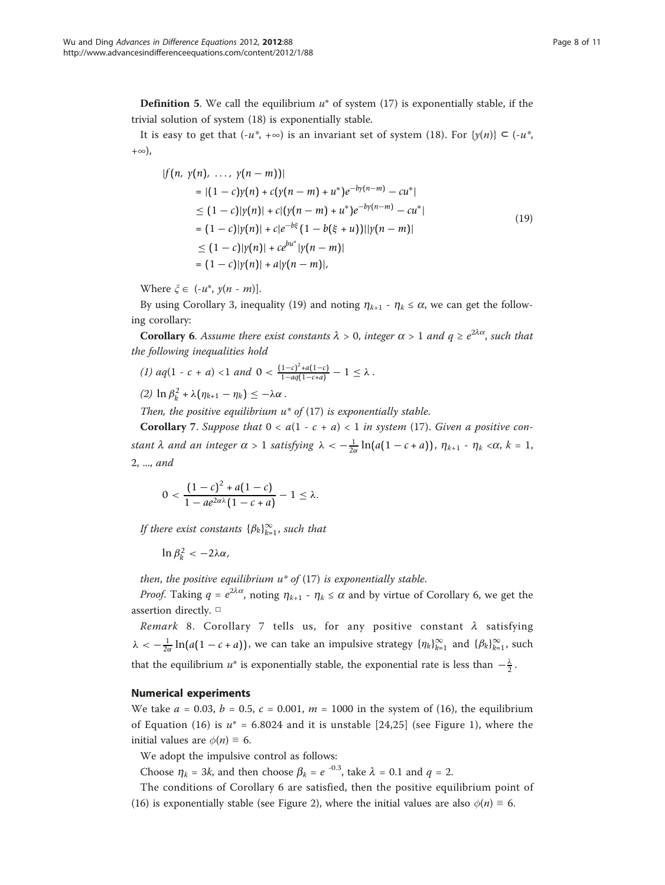**Definition 5.** We call the equilibrium  $u^*$  of system (17) is exponentially stable, if the trivial solution of system (18) is exponentially stable.

It is easy to get that  $(-u^*, +\infty)$  is an invariant set of system (18). For  $\{y(n)\}\subseteq (-u^*,$ +∞),

$$
|f(n, y(n), ..., y(n-m))|
$$
  
\n
$$
= |(1-c)y(n) + c(y(n-m) + u^*)e^{-by(n-m)} - cu^*|
$$
  
\n
$$
\leq (1-c)|y(n)| + c|(y(n-m) + u^*)e^{-by(n-m)} - cu^*|
$$
  
\n
$$
= (1-c)|y(n)| + c|e^{-b\xi}(1 - b(\xi + u))||y(n-m)|
$$
  
\n
$$
\leq (1-c)|y(n)| + ce^{bu^*}|y(n-m)|
$$
  
\n
$$
= (1-c)|y(n)| + a|y(n-m)|,
$$
 (19)

Where  $\xi \in (-u^*, y(n-m))$ .

By using Corollary 3, inequality (19) and noting  $\eta_{k+1}$  -  $\eta_k \le \alpha$ , we can get the following corollary:

**Corollary 6.** Assume there exist constants  $\lambda > 0$ , integer  $\alpha > 1$  and  $q \ge e^{2\lambda\alpha}$ , such that the following inequalities hold

- (1)  $aq(1 c + a) < 1$  and  $0 < \frac{(1 c)^2 + a(1 c)}{1 aq(1 c + a)} 1 \le \lambda$ .
- $(2) \ln \beta_k^2 + \lambda (\eta_{k+1} \eta_k) \leq -\lambda \alpha$ .

Then, the positive equilibrium  $u^*$  of (17) is exponentially stable.

**Corollary** 7. Suppose that  $0 < a(1 - c + a) < 1$  in system (17). Given a positive constant  $\lambda$  and an integer  $\alpha > 1$  satisfying  $\lambda < -\frac{1}{2\alpha} \ln(a(1-c+a))$ ,  $\eta_{k+1}$  -  $\eta_k < \alpha$ ,  $k = 1$ , 2, ..., and

$$
0 < \frac{\left(1-c\right)^2 + a(1-c)}{1 - ae^{2\alpha\lambda}(1 - c + a)} - 1 \leq \lambda.
$$

If there exist constants  $\{\beta_k\}_{k=1}^{\infty}$ , such that

ln β<sup>2</sup><sub>*k*</sub> < -2λα,

then, the positive equilibrium  $u^*$  of (17) is exponentially stable.

*Proof.* Taking  $q = e^{2\lambda\alpha}$ , noting  $\eta_{k+1}$  -  $\eta_k \le \alpha$  and by virtue of Corollary 6, we get the assertion directly. □

Remark 8. Corollary 7 tells us, for any positive constant  $\lambda$  satisfying  $\lambda < -\frac{1}{2\alpha} \ln(a(1-c+a))$ , we can take an impulsive strategy  $\{\eta_k\}_{k=1}^{\infty}$  and  $\{\beta_k\}_{k=1}^{\infty}$ , such that the equilibrium  $u^*$  is exponentially stable, the exponential rate is less than  $-\frac{\lambda}{2}$ .

### Numerical experiments

We take  $a = 0.03$ ,  $b = 0.5$ ,  $c = 0.001$ ,  $m = 1000$  in the system of (16), the equilibrium of Equation (16) is  $u^* = 6.8024$  and it is unstable [\[24,25](#page-10-0)] (see Figure [1\)](#page-8-0), where the initial values are  $\phi(n) \equiv 6$ .

We adopt the impulsive control as follows:

Choose  $\eta_k = 3k$ , and then choose  $\beta_k = e^{-0.3}$ , take  $\lambda = 0.1$  and  $q = 2$ .

The conditions of Corollary 6 are satisfied, then the positive equilibrium point of (16) is exponentially stable (see Figure [2](#page-8-0)), where the initial values are also  $\phi(n) \equiv 6$ .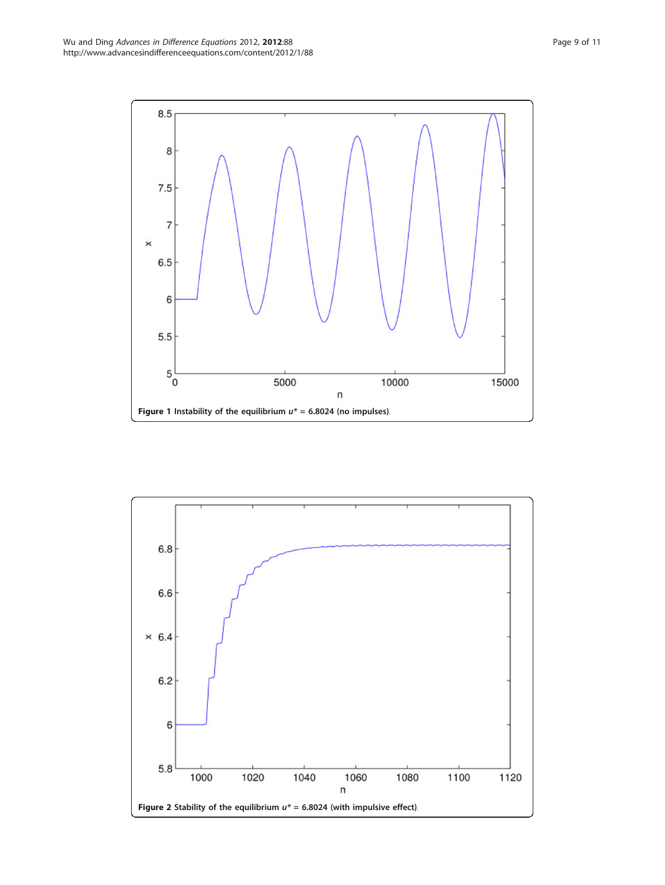<span id="page-8-0"></span>

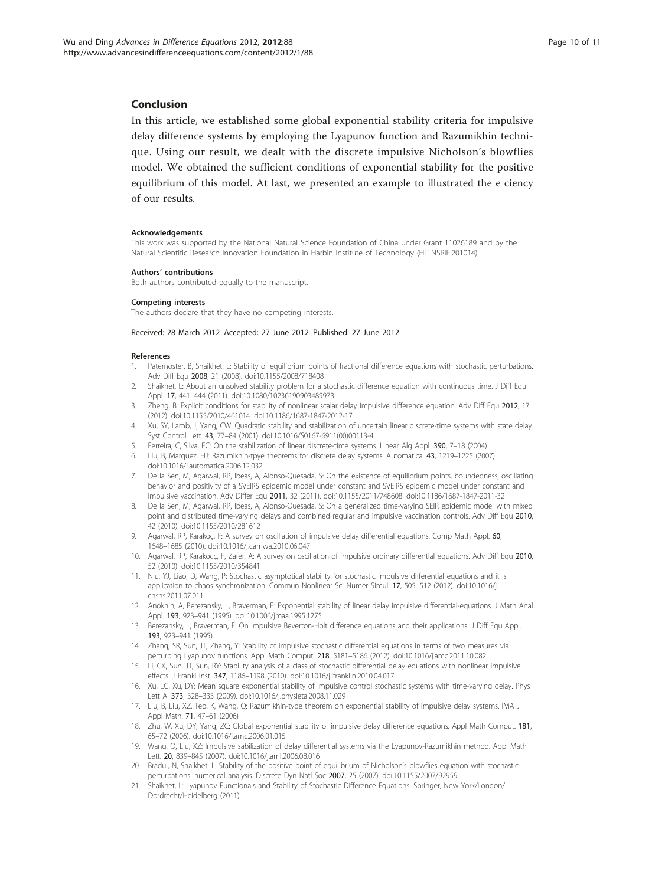# <span id="page-9-0"></span>Conclusion

In this article, we established some global exponential stability criteria for impulsive delay difference systems by employing the Lyapunov function and Razumikhin technique. Using our result, we dealt with the discrete impulsive Nicholson's blowflies model. We obtained the sufficient conditions of exponential stability for the positive equilibrium of this model. At last, we presented an example to illustrated the e ciency of our results.

#### Acknowledgements

This work was supported by the National Natural Science Foundation of China under Grant 11026189 and by the Natural Scientific Research Innovation Foundation in Harbin Institute of Technology (HIT.NSRIF.201014).

#### Authors' contributions

Both authors contributed equally to the manuscript.

#### Competing interests

The authors declare that they have no competing interests.

#### Received: 28 March 2012 Accepted: 27 June 2012 Published: 27 June 2012

#### References

- 1. Paternoster, B, Shaikhet, L: Stability of equilibrium points of fractional difference equations with stochastic perturbations. Adv Diff Equ 2008, 21 (2008). doi:10.1155/2008/718408
- 2. Shaikhet, L: About an unsolved stability problem for a stochastic difference equation with continuous time. J Diff Equ Appl. 17, 441–444 (2011). doi:10.1080/10236190903489973
- 3. Zheng, B: Explicit conditions for stability of nonlinear scalar delay impulsive difference equation. Adv Diff Equ 2012, 17 (2012). doi:10.1155/2010/461014. doi:10.1186/1687-1847-2012-17
- 4. Xu, SY, Lamb, J, Yang, CW: Quadratic stability and stabilization of uncertain linear discrete-time systems with state delay. Syst Control Lett. 43, 77-84 (2001). doi:10.1016/S0167-6911(00)00113-4
- 5. Ferreira, C, Silva, FC: On the stabilization of linear discrete-time systems. Linear Alg Appl. 390, 7–18 (2004)
- 6. Liu, B, Marquez, HJ: Razumikhin-tpye theorems for discrete delay systems. Automatica. 43, 1219–1225 (2007).
- doi:10.1016/j.automatica.2006.12.032
- 7. De la Sen, M, Agarwal, RP, Ibeas, A, Alonso-Quesada, S: On the existence of equilibrium points, boundedness, oscillating behavior and positivity of a SVEIRS epidemic model under constant and SVEIRS epidemic model under constant and impulsive vaccination. Adv Differ Equ 2011, 32 (2011). doi:10.1155/2011/748608. doi:10.1186/1687-1847-2011-32
- 8. De la Sen, M, Agarwal, RP, Ibeas, A, Alonso-Quesada, S: On a generalized time-varying SEIR epidemic model with mixed point and distributed time-varying delays and combined regular and impulsive vaccination controls. Adv Diff Equ 2010, 42 (2010). doi:10.1155/2010/281612
- 9. Agarwal, RP, Karakoç, F: A survey on oscillation of impulsive delay differential equations. Comp Math Appl. 60, 1648–1685 (2010). doi:10.1016/j.camwa.2010.06.047
- 10. Agarwal, RP, Karakocç, F, Zafer, A: A survey on oscillation of impulsive ordinary differential equations. Adv Diff Equ 2010, 52 (2010). doi:10.1155/2010/354841
- 11. Niu, YJ, Liao, D, Wang, P: Stochastic asymptotical stability for stochastic impulsive differential equations and it is application to chaos synchronization. Commun Nonlinear Sci Numer Simul. 17, 505–512 (2012). doi:10.1016/j. cnsns.2011.07.011
- 12. Anokhin, A, Berezansky, L, Braverman, E: Exponential stability of linear delay impulsive differential-equations. J Math Anal Appl. 193, 923–941 (1995). doi:10.1006/jmaa.1995.1275
- 13. Berezansky, L, Braverman, E: On impulsive Beverton-Holt difference equations and their applications. J Diff Equ Appl. 193, 923–941 (1995)
- 14. Zhang, SR, Sun, JT, Zhang, Y: Stability of impulsive stochastic differential equations in terms of two measures via perturbing Lyapunov functions. Appl Math Comput. 218, 5181–5186 (2012). doi:10.1016/j.amc.2011.10.082
- 15. Li, CX, Sun, JT, Sun, RY: Stability analysis of a class of stochastic differential delay equations with nonlinear impulsive effects. J Frankl Inst. 347, 1186–1198 (2010). doi:10.1016/j.jfranklin.2010.04.017
- 16. Xu, LG, Xu, DY: Mean square exponential stability of impulsive control stochastic systems with time-varying delay. Phys Lett A. 373, 328–333 (2009). doi:10.1016/j.physleta.2008.11.029
- 17. Liu, B, Liu, XZ, Teo, K, Wang, Q: Razumikhin-type theorem on exponential stability of impulsive delay systems. IMA J Appl Math. 71, 47–61 (2006)
- 18. Zhu, W, Xu, DY, Yang, ZC: Global exponential stability of impulsive delay difference equations. Appl Math Comput. 181, 65–72 (2006). doi:10.1016/j.amc.2006.01.015
- 19. Wang, Q, Liu, XZ: Impulsive sabilization of delay differential systems via the Lyapunov-Razumikhin method. Appl Math Lett. 20, 839–845 (2007). doi:10.1016/j.aml.2006.08.016
- 20. Bradul, N, Shaikhet, L: Stability of the positive point of equilibrium of Nicholson's blowflies equation with stochastic perturbations: numerical analysis. Discrete Dyn Natl Soc 2007, 25 (2007). doi:10.1155/2007/92959
- 21. Shaikhet, L: Lyapunov Functionals and Stability of Stochastic Difference Equations. Springer, New York/London/ Dordrecht/Heidelberg (2011)